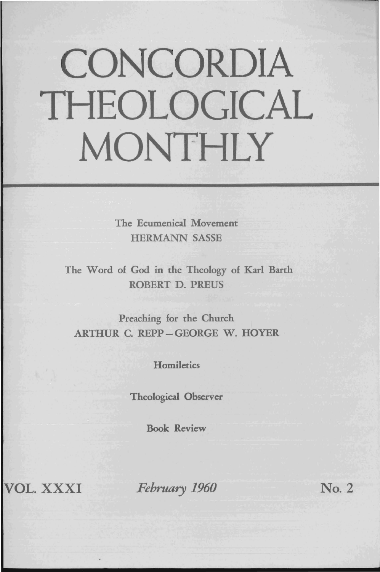# CONCORDIA THEOLOGICAL MONTHLY

The Ecumenical Movement HERMANN SASSE

The Word of God in the Theology of Karl Barth ROBERT D. PREUS

Preaching for the Church ARTHUR C. REPP-GEORGE W. HOYER

**Homiletics** 

Theological Observer

Book Review

VOL. XXXI *February 1960* No.2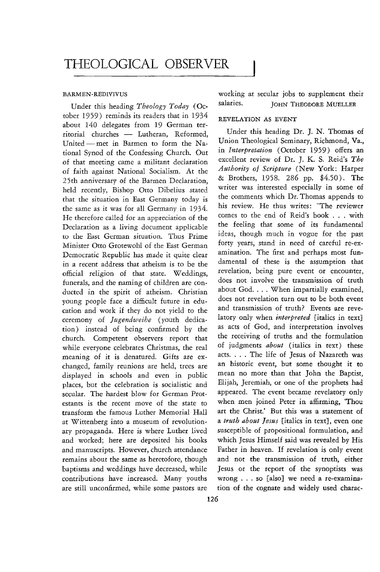#### BARMEN-REDIVIVUS

Under this heading *Theology Today* (October 1959) reminds its readers that in 1934 about 140 delegates from 19 German territorial churches - Lutheran, Reformed, United - met in Barmen to form the National Synod of the Confessing Church. Out of that meeting came a militant declaration of faith against National Socialism. At the 25th anniversary of the Barmen Declaration, held recently, Bishop Otto Dibelius stated that the situation in East Germany today is the same as it was for all Germany in 1934. He therefore called for an appreciation of the Declaration as a living document applicable to the East German situation. Thus Prime Minister Otto Grotewohl of the East German Democratic Republic has made it quite clear in a recent address that atheism is to be the official religion of that state. Weddings, funerals, and the naming of children are conducted in the spirit of atheism. Christian young people face a difficult future in education and work if they do not yield to the ceremony of *Jugendweihe* (youth dedication) instead of being confirmed by the church. Competent observers report that while everyone celebrates Christmas, the real meaning of it is denatured. Gifts are exchanged, family reunions are held, trees are displayed in schools and even in public places, but the celebration is socialistic and secular. The hardest blow for German Protestants is the recent move of the state to transform the famous Luther Memorial Hall at Wittenberg into a museum of revolutionary propaganda. Here is where Luther lived and worked; here are deposited his books and manuscripts. However, church attendance remains about the same as heretofore, though baptisms and weddings have decreased, while contributions have increased. Many youths are still unconfirmed, while some pastors are

working at secular jobs to supplement their salaries. JOHN THEODORE MUELLER

### REVELATION AS EVENT

Under this heading Dr. J. N. Thomas of Union Theological Seminary, Richmond, Va., in *Interpretation* (October 1959) offers an excellent review of Dr. J. K. S. Reid's *The Authority of Scripture* (New York: Harper & Brothers, 1958. 286 pp. \$4.50). The writer was interested especially in some of the comments which Dr. Thomas appends to his review. He thus writes: "The reviewer comes to the end of Reid's book ... with the feeling that some of its fundamental ideas, though much in vogue for the past forty years, stand in need of careful re-examination. The first and perhaps most fundamental of these is the assumption that revelation, being pure event or encounter, does not involve the transmission of truth about God. . . . When impartially examined, does not revelation turn out to be both event and transmission of truth? Events are revelatory only when *interpreted* [italics in text] as acts of God, and interpretation involves the receiving of truths and the formulation of judgments *about* (italics in text) these acts. . . . The life of Jesus of Nazareth was an historic event, but some thought it to mean no more than that John the Baptist, Elijah, Jeremiah, or one of the prophets had appeared. The event became revelatory only when men joined Peter in affirming, 'Thou art the Christ.' But this was a statement of a *truth about Jesus* [italics in text}, even one susceptible of propositional formulation, and which Jesus Himself said was revealed by His Father in heaven. If revelation is only event and not the transmission of truth, either Jesus or the report of the synoptists was wrong ... so [also} we need a re-examination of the cognate and widely used charac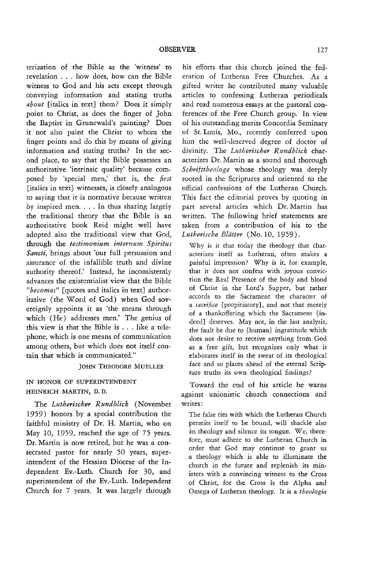terization of the Bible as the 'witness' to revelation ... how does, how can the Bible witness to God and his acts except through conveying information and stating truths *about* [italics in text} them? Does it simply point to Christ, as does the finger of John the Baptist in Grunewald's painting? Does *it* not also paint the Christ to whom the finger points and do this by means of giving information and stating truths? In the second place, to say that the Bible possesses an authoritative 'intrinsic quality' because composed by 'special men,' that *is,* the *first*  [italics in text} witnesses, is closely analogous to saying that it is normative because written by inspired men. . . . In thus sharing largely the traditional theory that the Bible is an authoritative book Reid might well have adopted also the traditional view that God, through the *testimonium internum Spiritus Saneti,* brings about 'our full persuasion and assurance of the infallible truth and divine authority thereof.' Instead, he inconsistently advances the existentialist view that the Bible *"becomes"* [quotes and italics in text) authoritative (the Word of God) when God sovereignly appoints it as 'the means through which (He) addresses men.' The genius of this view is that the Bible is ... like a telephone, which is one means of communication among others, but which does not itself con· tain that which is communicated."

#### JOHN THEODORE MUELLER

# IN HONOR OF SUPERINTENDENT HEINRICH MARTIN, D. D.

The *Lutheriseher Rundblick* (November 1959) honors by a special contribution the faithful ministry of Dr. H. Martin, who on May 10, 1959, reached the age of 75 years. Dr. Martin is now retired, but he was a consecrated pastor for nearly 50 years, superintendent of the Hessian Diocese of the Independent Ev.-Luth. Church for 30, and superintendent of the Ev.-Luth. Independent Church for 7 years. It was largely through his efforts that this church joined the federation of Lutheran Free Churches. As a gifted writer he contributed many valuable articles to confessing Lutheran periodicals and read numerous essays at the pastoral conferences of the Free Church group. In view of his outstanding merits Concordia Seminary of St. Louis, Mo., recently conferred upon him the well-deserved degree of doctor of divinity. The *Lutherischer Rundblick* characterizes Dr. Martin as a sound and thorough *Sehrifttheologe* whose theology was deeply rooted in the Scriptures and oriented to the official confessions of the Lutheran Church. This fact the editorial proves by quoting in part several articles which Dr. Martin has written. The following brief statements are taken from a contribution of his to the Lutherische Blätter (No. 10, 1959).

Why is it that today the theology that char· acterizes itself as Lutheran, often makes a painful impression? Why is it, for example, that it does not confess with joyous conviction the Real Presence of the body and blood of Christ in the Lord's Supper, but rather accords to the Sacrament the character of a *sacrifice* [propitiatory], and not that merely of a thankoffering which the Sacrament [indeed] deserves. May not, in the last analysis, the fault be due to [human] ingratitude which does not desire to receive anything from God as a free gift, but recognizes only what it elaborates itself in the sweat of its theological face and so places ahead of the eternal Scripture truths its own theological findings?

Toward the end of his article he warns against unionistic church connections and writes:

The false ties with which the Lutheran Church permits itself to be bound, will shackle also its theology and silence its tongue. We, therefore, must adhere to the lutheran Church in order that God may continue to grant us a theology which is able to illuminate the church in the future and replenish its min· isters with a convincing witness to the Cross of Christ, for the Cross is the Alpha and Omega of Lutheran theology. It is a *theologia*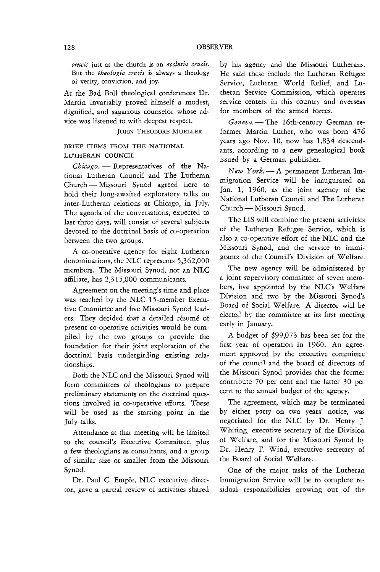*crucis* just as the church is an *ecclesia crucis.*  But the *theologia crucis* is always a theology of verity, conviction, and joy.

At the Bad Boll theological conferences Dr. Martin invariably proved himself a modest, dignified, and sagacious counselor whose advice was listened to with deepest respect.

JOHN THEODORE MUELLER

# BRIEF ITEMS FROM THE NATIONAL LUTHERAN COUNCIL

*Chicago.* - Representatives of the National Lutheran Council and The Lutheran Church - Missouri Synod agreed here to hold their long-awaited exploratory talks on inter-Lutheran relations at Chicago, in July. The agenda of the conversations, expected to last three days, will consist of several subjects devoted to the doctrinal basis of co-operation between the two groups.

A co-operative agency for eight Lutheran denominations, the NLC represents 5,362,000 members. The Missouri Synod, not an NLC affiliate, has 2,315,000 communicants.

Agreement on the meeting's time and place was reached by the NLC IS-member Executive Committee and five Missouri Synod leaders. They decided that a detailed résumé of present co-operative activities would be compiled by the two groups to provide the foundation for their joint exploration of the doctrinal basis undergirding existing relationships.

Both the NLC and the Missouri Synod will form committees of theologians to prepare preliminary statements on the doctrinal questions involved in co-operative efforts. These will be used as the starting point in the July talks.

Attendance at that meeting will be limited to the council's Executive Committee, plus a few theologians as consultants, and a group of similar size or smaller from the Missouri Synod.

Dr. Paul C. Empie, NLC executive director, gave a partial review of activities shared

by his agency and the Missouri Lutherans. He said these include the Lutheran Refugee Service, Lutheran World Relief, and Lutheran Service Commission, which operates service centers in this country and overseas for members of the armed forces.

Geneva. - The 16th-century German reformer Martin Luther, who was born 476 years ago Nov. 10, now has 1,834 descendants, according to a new genealogical book issued by a German publisher.

*New York.* - A permanent Lutheran Immigration Service will be inaugurated on Jan. 1, 1960, as the joint agency of the National Lutheran Council and The Lutheran Church — Missouri Synod.

The LIS will combine the present activities of the Lutheran Refugee Service, which is also a co-operative effort of the NLC and the Missouri Synod, and the service to immigrants of the Council's Division of Welfare.

The new agency will be administered by a joint supervisory committee of seven members, five appointed by the NLC's Welfare Division and two by the Missouri Synod's Board of Social Welfare. A director will be elected by the committee at its first meeting early in January.

A budget of \$99,073 has been set for the first year of operation in 1960. An agreement approved by the executive committee of the council and the board of directors of the Missouri Synod provides that the former contribute 70 per cent and the latter 30 per cent to the annual budget of the agency.

The agreement, which may be terminated by either party on two years' notice, was negotiated for the NLC by Dr. Henry J. Whiting, executive secretary of the Division of Welfare, and for the Missouri Synod by Dr. Henry F. Wind, executive secretary of the Board of Social Welfare.

One of the major tasks of the Lutheran Immigration Service will be to complete residual responsibilities growing out of the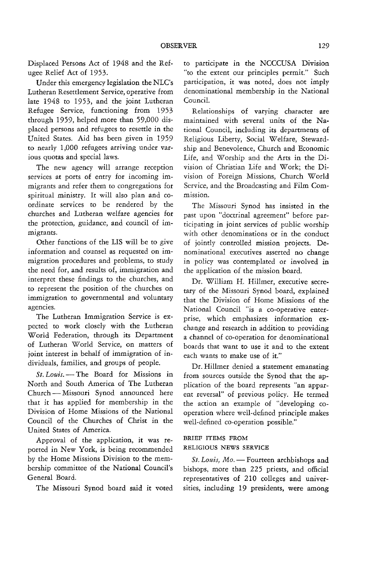Displaced Persons Act of 1948 and the Refugee Relief Act of 1953.

Under this emergency legislation the NLC's Lutheran Resettlement Service, operative from late 1948 to 1953, and the joint Lutheran Refugee Service, functioning from 1953 through 1959, helped more than 59,000 displaced persons and refugees to resettle in the United States. Aid has been given in 1959 to nearly 1,000 refugees arriving under various quotas and special laws.

The new agency will arrange reception services at ports of entry for incoming immigrants and refer them to congregations for spiritual ministry. It will also plan and coordinate services to be rendered by the churches and Lutheran welfare agencies for the protection, guidance, and council of immigrants.

Other functions of the LIS will be to give information and counsel as requested on immigration procedures and problems, to study the need for, and results of, immigration and interpret these findings to the churches, and to represent the position of the churches on immigration to governmental and voluntary agencies.

The Lutheran Immigration Service is expected to work closely with the Lutheran World Federation, through its Department of Lutheran World Service, on matters of joint interest in behalf of immigration of individuals, families, and groups of people.

*St. Louis.* - The Board for Missions in North and South America of The Lutheran Church - Missouri Synod announced here that it has applied for membership in the Division of Home Missions of the National Council of the Churches of Christ in the United States of America.

Approval of the application, **it** was reported in New York, is being recommended by the Home Missions Division to the membership committee of the National Council's General Board.

The Missouri Synod board said it voted

to participate in the NCCCUSA Division "to the extent our principles permit." Such participation, it was noted, does not imply denominational membership in the National Council.

Relationships of varying character are maintained with several units of the National Council, including its departments of Religious Liberty, Social Welfare, Stewardship and Benevolence, Church and Economic Life, and Worship and the Arts in the Division of Christian Life and Work; the Division of Foreign Missions, Church World Service, and the Broadcasting and Film Commission.

The Missouri Synod has insisted in the past upon "doctrinal agreement" before participating in joint services of public worship with other denominations or in the conduct of jointly controlled mission projects. Denominational executives asserted no change in policy was contemplated or involved in the application of the mission board.

Dr. William H. Hillmer, executive secretary of the Missouri Synod board, explained that the Division of Home Missions of the National Council "is a co-operative enterprise, which emphasizes information exchange and research in addition to providing a channel of co-operation for denominational boards that want to use it and to the extent each wants to make use of it."

Dr. Hillmer denied a statement emanating from sources outside the Synod that the application of the board represents "an apparent reversal" of previous policy. He termed the action an example of "developing cooperation where well-defined principle makes well-defined co-operation possible."

## BRIEF ITEMS FROM RELIGIOUS NEWS SERVICE

St. Louis, Mo. - Fourteen archbishops and bishops, more than 225 priests, and official representatives of 210 colleges and universities, including 19 presidents, were among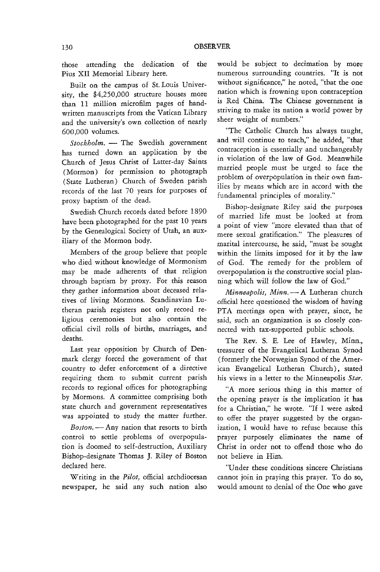those attending the dedication of the Pius XII Memorial Library here.

Built on the campus of St. Louis Universiry, the \$4,250,000 structure houses more than 11 million microfilm pages of handwritten manuscripts from the Vatican Library and the university's own collection of nearly 600,000 volumes.

*Stockholm.* - The Swedish government has turned down an application by the Church of Jesus Christ of Latter-day Saints (Mormon) for permission to photograph (State Lutheran) Church of Sweden parish records of the last 70 years for purposes of proxy baptism of the dead.

Swedish Church records dated before 1890 have been photographed for the past 10 years by the Genealogical Society of Utah, an auxiliary of the Mormon body.

Members of the group believe that people who died without knowledge of Mormonism may be made adherents of that religion through baptism by proxy. For this reason they gather information about deceased relatives of living Mormons. Scandinavian Lutheran parish registers not only record religious ceremonies but also contain the official civil rolls of births, marriages, and deaths.

Last year opposition by Church of Denmark clergy forced the government of that country to defer enforcement of a directive requiring them to submit current parish records to regional offices for photographing by Mormons. A committee comprising both state church and government representatives was appointed to study the matter further.

*Boston.* - Any nation that resorts to birth control to settle problems of overpopulation is doomed to self-destruction, Auxiliary Bishop-designate Thomas J. Riley of Boston declared here.

Writing in the *Pilot,* official archdiocesan newspaper, he said any such nation also

would be subject to decimation by more numerous surrounding countries. "It is not without significance," he noted, "that the one nation which is frowning upon contraception is Red China. The Chinese government is striving to make its nation a world power by sheer weight of numbers."

"The Catholic Church has always taught, and will continue to teach," he added, "that contraception is essentially and unchangeably in violation of the law of God. Meanwhile married people must be urged to face the problem of overpopulation in their own families by means which are in accord with the fundamental principles of morality."

Bishop-designate Riley said the purposes of married life must be looked at from a point of view "more elevated than that of mere sexual gratification." The pleasures of marital intercourse, he said, "must be sought within the limits imposed for it by the law of God. The remedy for the problem of overpopulation is the constructive social planning which will follow the law of God."

*Minneapolis, Minn.* - A Lutheran church official here questioned the wisdom of having PTA meetings open with prayer, since, he said, such an organization is so closely connected with tax-supported public schools.

The Rev. S. E. Lee of Hawley, Minn., treasurer of the Evangelical Lutheran Synod (formerly the Norwegian Synod of the American Evangelical Lutheran Church), stated his views in a letter to the Minneapolis *Star.* 

"A more serious thing in this matter of the opening prayer is the implication it has for a Christian," he wrote. "If I were asked to offer the prayer suggested by the organization, I would have to refuse because this prayer purposely eliminates the name of Christ in order not to offend those who do not believe in Him.

"Under these conditions sincere Christians cannot join in praying this prayer. To do so, would amount to denial of the One who gave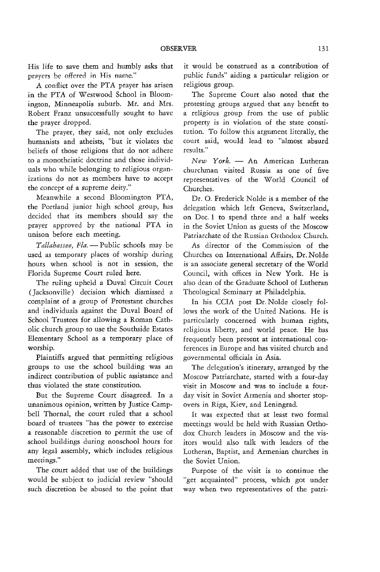His life to save them and humbly asks that prayers be offered in His name."

A conflict over the PTA prayer has arisen in the PTA of Westwood School in Bloomington, Minneapolis suburb. Mr. and Mrs. Robert Franz unsuccessfully sought to have the prayer dropped.

The prayer, they said, not only excludes humanists and atheists, "but it violates the beliefs of those religions that do not adhere to a monotheistic doctrine and those individuals who while belonging to religious organizations do not as members have to accept the concept of a supreme deity."

Meanwhile a second Bloomington PTA, the Portland junior high school group, has decided that its members should say the prayer approved by the national PTA in unison before each meeting.

Tallahassee, Fla. - Public schools may be used as temporary places of worship during hours when school is not in session, the Florida Supreme Court ruled here.

The ruling upheld a Duval Circuit Court (Jacksonville) decision which dismissed a complaint of a group of Protestant churches and individuals against the Duval Board of School Trustees for allowing a Roman Catholic church group to use the Southside Estates Elementary School as a temporary place of worship.

Plaintiffs argued that permitting religious groups to use the school building was an indirect contribution of public assistance and thus violated the state constitution.

But the Supreme Court disagreed. In a unanimous opinion, written by Justice Campbell Thornal, the court ruled that a school board of trustees "has the power to exercise a reasonable discretion to permit the use of school buildings during nonschool hours for any legal assembly, which includes religious meetings."

The court added that use of the buildings would be subject to judicial review "should such discretion be abused to the point that

it would be construed as a contribution of public funds" aiding a particular religion or religious group.

The Supreme Court also noted that the protesting groups argued that any benefit to a religious group from the use of public property is in violation of the state constitution. To follow this argument literally, the court said, would lead to "almost absurd results."

*New York.* - An American Lutheran churchman visited Russia as one of five representatives of the World Council of Churches.

Dr. O. Frederick Nolde is a member of the delegation which left Geneva, Switzerland, on Dec. 1 to spend three and a half weeks in the Soviet Union as guests of the Moscow Patriarchate of the Russian Orthodox Church.

As director of the Commission of the Churches on International Affairs, Dr. Nolde is an associate general secretary of the World Council, with offices in New York. He is also dean of the Graduate School of Lutheran Theological Seminary at Philadelphia.

In his CCIA post Dr. Nolde closely follows the work of the United Nations. He is particularly concerned with human rights, religious liberty, and world peace. He has frequently been present at international conferences in Europe and has visited church and governmental officials in Asia.

The delegation's itinerary, arranged by the Moscow Patriarchate, started with a four-day visit in Moscow and was to include a fourday visit in Soviet Armenia and shorter stopovers in Riga, Kiev, and Leningrad.

It was expected that at least two formal meetings would be held with Russian Orthodox Church leaders in Moscow and the visitors would also talk with leaders of the Lutheran, Baptist, and Armenian churches in the Soviet Union.

Purpose of the visit is to continue the "get acquainted" process, which got under way when two representatives of the patri